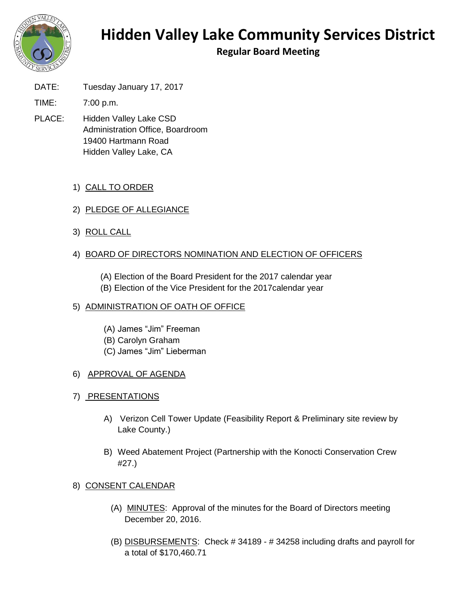

# **Hidden Valley Lake Community Services District**

**Regular Board Meeting**

DATE: Tuesday January 17, 2017

TIME: 7:00 p.m.

PLACE: Hidden Valley Lake CSD Administration Office, Boardroom 19400 Hartmann Road Hidden Valley Lake, CA

# 1) CALL TO ORDER

- 2) PLEDGE OF ALLEGIANCE
- 3) ROLL CALL

# 4) BOARD OF DIRECTORS NOMINATION AND ELECTION OF OFFICERS

(A) Election of the Board President for the 2017 calendar year (B) Election of the Vice President for the 2017calendar year

#### 5) ADMINISTRATION OF OATH OF OFFICE

- (A) James "Jim" Freeman (B) Carolyn Graham
- (C) James "Jim" Lieberman

# 6) APPROVAL OF AGENDA

- 7) PRESENTATIONS
	- A) Verizon Cell Tower Update (Feasibility Report & Preliminary site review by Lake County.)
	- B) Weed Abatement Project (Partnership with the Konocti Conservation Crew #27.)

# 8) CONSENT CALENDAR

- (A) MINUTES: Approval of the minutes for the Board of Directors meeting December 20, 2016.
- (B) DISBURSEMENTS: Check # 34189 # 34258 including drafts and payroll for a total of \$170,460.71